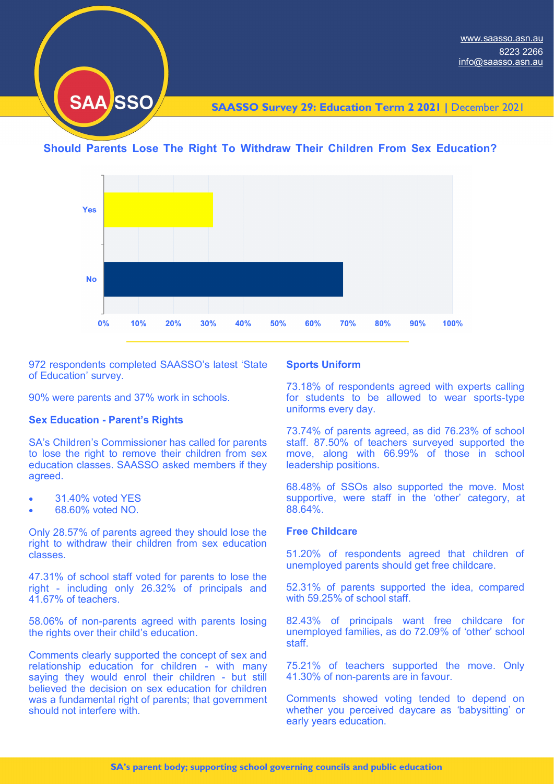

**SAASSO Survey 29: Education Term 2 2021 |** December 2021

# **Should Parents Lose The Right To Withdraw Their Children From Sex Education?**



972 respondents completed SAASSO's latest 'State of Education' survey.

90% were parents and 37% work in schools.

## **Sex Education - Parent's Rights**

SA's Children's Commissioner has called for parents to lose the right to remove their children from sex education classes. SAASSO asked members if they agreed.

- 31.40% voted YES
- 68.60% voted NO.

Only 28.57% of parents agreed they should lose the right to withdraw their children from sex education classes.

47.31% of school staff voted for parents to lose the right - including only 26.32% of principals and 41.67% of teachers.

58.06% of non-parents agreed with parents losing the rights over their child's education.

Comments clearly supported the concept of sex and relationship education for children - with many saying they would enrol their children - but still believed the decision on sex education for children was a fundamental right of parents; that government should not interfere with.

## **Sports Uniform**

73.18% of respondents agreed with experts calling for students to be allowed to wear sports-type uniforms every day.

73.74% of parents agreed, as did 76.23% of school staff. 87.50% of teachers surveyed supported the move, along with 66.99% of those in school leadership positions.

68.48% of SSOs also supported the move. Most supportive, were staff in the 'other' category, at 88.64%.

## **Free Childcare**

51.20% of respondents agreed that children of unemployed parents should get free childcare.

52.31% of parents supported the idea, compared with 59.25% of school staff.

82.43% of principals want free childcare for unemployed families, as do 72.09% of 'other' school staff.

75.21% of teachers supported the move. Only 41.30% of non-parents are in favour.

Comments showed voting tended to depend on whether you perceived daycare as 'babysitting' or early years education.